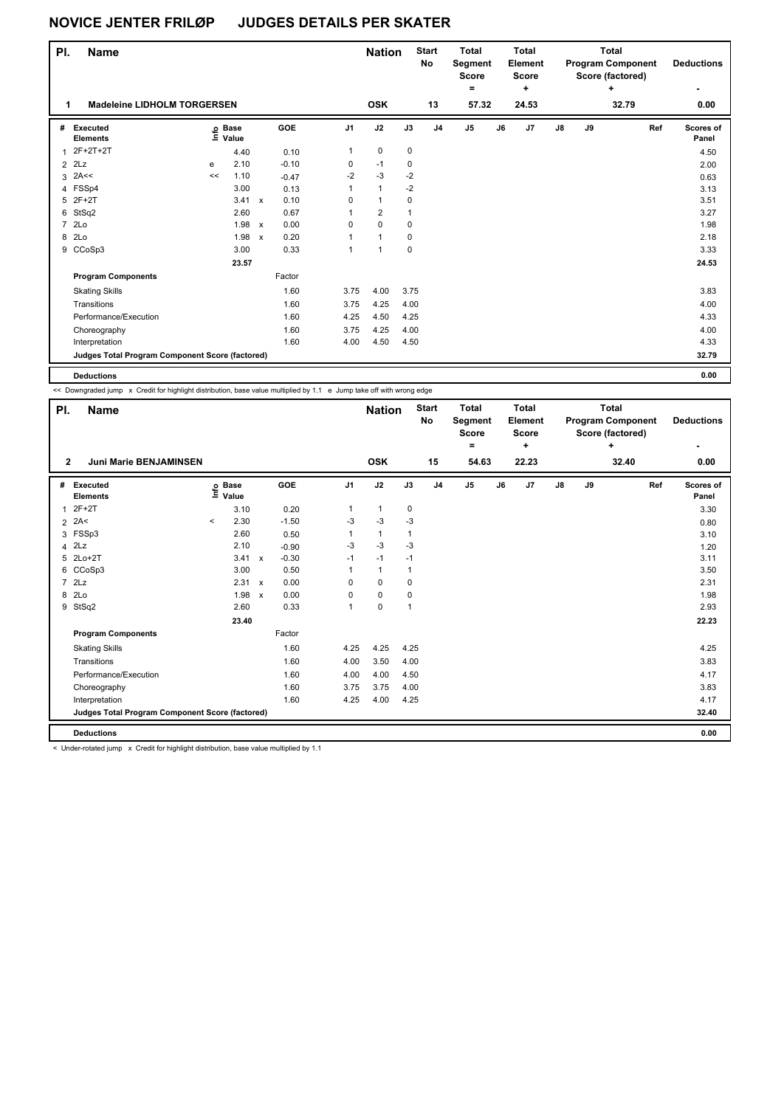| PI.            | <b>Name</b>                                     |    | <b>Nation</b>     |              | <b>Start</b><br><b>No</b> | <b>Total</b><br>Segment<br><b>Score</b><br>$=$ |                | <b>Total</b><br>Element<br>Score<br>$\ddot{}$ |                |       | <b>Total</b><br><b>Program Component</b><br>Score (factored)<br>۰ | <b>Deductions</b> |               |    |       |                           |
|----------------|-------------------------------------------------|----|-------------------|--------------|---------------------------|------------------------------------------------|----------------|-----------------------------------------------|----------------|-------|-------------------------------------------------------------------|-------------------|---------------|----|-------|---------------------------|
| 1              | <b>Madeleine LIDHOLM TORGERSEN</b>              |    |                   |              |                           |                                                | <b>OSK</b>     |                                               | 13             | 57.32 |                                                                   | 24.53             |               |    | 32.79 | 0.00                      |
| #              | Executed<br><b>Elements</b>                     |    | e Base<br>⊑ Value |              | GOE                       | J <sub>1</sub>                                 | J2             | J3                                            | J <sub>4</sub> | J5    | J6                                                                | J7                | $\mathsf{J}8$ | J9 | Ref   | <b>Scores of</b><br>Panel |
| 1              | 2F+2T+2T                                        |    | 4.40              |              | 0.10                      | 1                                              | $\mathbf 0$    | $\mathbf 0$                                   |                |       |                                                                   |                   |               |    |       | 4.50                      |
| $\overline{2}$ | 2Lz                                             | e  | 2.10              |              | $-0.10$                   | 0                                              | $-1$           | 0                                             |                |       |                                                                   |                   |               |    |       | 2.00                      |
| 3              | 2A<<                                            | << | 1.10              |              | $-0.47$                   | $-2$                                           | $-3$           | $-2$                                          |                |       |                                                                   |                   |               |    |       | 0.63                      |
|                | 4 FSSp4                                         |    | 3.00              |              | 0.13                      | 1                                              | $\mathbf{1}$   | $-2$                                          |                |       |                                                                   |                   |               |    |       | 3.13                      |
|                | 5 2F+2T                                         |    | 3.41              | $\mathsf{x}$ | 0.10                      | 0                                              | 1              | 0                                             |                |       |                                                                   |                   |               |    |       | 3.51                      |
| 6              | StSq2                                           |    | 2.60              |              | 0.67                      | 1                                              | $\overline{2}$ | $\mathbf{1}$                                  |                |       |                                                                   |                   |               |    |       | 3.27                      |
| $\overline{7}$ | 2Lo                                             |    | 1.98              | $\mathsf{x}$ | 0.00                      | 0                                              | $\pmb{0}$      | 0                                             |                |       |                                                                   |                   |               |    |       | 1.98                      |
| 8              | 2Lo                                             |    | 1.98              | $\mathsf{x}$ | 0.20                      | 1                                              | $\mathbf{1}$   | $\mathbf 0$                                   |                |       |                                                                   |                   |               |    |       | 2.18                      |
| 9              | CCoSp3                                          |    | 3.00              |              | 0.33                      | 1                                              | $\mathbf{1}$   | $\mathbf 0$                                   |                |       |                                                                   |                   |               |    |       | 3.33                      |
|                |                                                 |    | 23.57             |              |                           |                                                |                |                                               |                |       |                                                                   |                   |               |    |       | 24.53                     |
|                | <b>Program Components</b>                       |    |                   |              | Factor                    |                                                |                |                                               |                |       |                                                                   |                   |               |    |       |                           |
|                | <b>Skating Skills</b>                           |    |                   |              | 1.60                      | 3.75                                           | 4.00           | 3.75                                          |                |       |                                                                   |                   |               |    |       | 3.83                      |
|                | Transitions                                     |    |                   |              | 1.60                      | 3.75                                           | 4.25           | 4.00                                          |                |       |                                                                   |                   |               |    |       | 4.00                      |
|                | Performance/Execution                           |    |                   |              | 1.60                      | 4.25                                           | 4.50           | 4.25                                          |                |       |                                                                   |                   |               |    |       | 4.33                      |
|                | Choreography                                    |    |                   |              | 1.60                      | 3.75                                           | 4.25           | 4.00                                          |                |       |                                                                   |                   |               |    |       | 4.00                      |
|                | Interpretation                                  |    |                   |              | 1.60                      | 4.00                                           | 4.50           | 4.50                                          |                |       |                                                                   |                   |               |    |       | 4.33                      |
|                | Judges Total Program Component Score (factored) |    |                   |              |                           |                                                |                |                                               |                |       |                                                                   |                   |               |    |       | 32.79                     |
|                |                                                 |    |                   |              |                           |                                                |                |                                               |                |       |                                                                   |                   |               |    |       |                           |

**Deductions 0.00**

ı

<< Downgraded jump x Credit for highlight distribution, base value multiplied by 1.1 e Jump take off with wrong edge

| PI.            | <b>Name</b>                                     |         |                   |                           |         |      | <b>Nation</b> |              | <b>Start</b><br>No | <b>Total</b><br>Segment<br><b>Score</b> |    | <b>Total</b><br>Element<br>Score |    |    | <b>Total</b><br><b>Program Component</b><br>Score (factored) |     | <b>Deductions</b>  |
|----------------|-------------------------------------------------|---------|-------------------|---------------------------|---------|------|---------------|--------------|--------------------|-----------------------------------------|----|----------------------------------|----|----|--------------------------------------------------------------|-----|--------------------|
|                |                                                 |         |                   |                           |         |      |               |              |                    | ۰                                       |    | ٠                                |    |    | ٠                                                            |     | ٠                  |
| $\mathbf{2}$   | Juni Marie BENJAMINSEN                          |         |                   |                           |         |      | <b>OSK</b>    |              | 15                 | 54.63                                   |    | 22.23                            |    |    | 32.40                                                        |     | 0.00               |
| #              | Executed<br><b>Elements</b>                     |         | e Base<br>⊆ Value |                           | GOE     | J1   | J2            | J3           | J <sub>4</sub>     | J <sub>5</sub>                          | J6 | J <sub>7</sub>                   | J8 | J9 |                                                              | Ref | Scores of<br>Panel |
| $\overline{1}$ | $2F+2T$                                         |         | 3.10              |                           | 0.20    | 1    | $\mathbf{1}$  | 0            |                    |                                         |    |                                  |    |    |                                                              |     | 3.30               |
|                | $2$ 2A<                                         | $\prec$ | 2.30              |                           | $-1.50$ | $-3$ | $-3$          | $-3$         |                    |                                         |    |                                  |    |    |                                                              |     | 0.80               |
| 3              | FSSp3                                           |         | 2.60              |                           | 0.50    | 1    | $\mathbf{1}$  | 1            |                    |                                         |    |                                  |    |    |                                                              |     | 3.10               |
| 4              | 2Lz                                             |         | 2.10              |                           | $-0.90$ | $-3$ | $-3$          | $-3$         |                    |                                         |    |                                  |    |    |                                                              |     | 1.20               |
|                | 5 2Lo+2T                                        |         | 3.41              | $\mathsf{x}$              | $-0.30$ | $-1$ | $-1$          | $-1$         |                    |                                         |    |                                  |    |    |                                                              |     | 3.11               |
|                | 6 CCoSp3                                        |         | 3.00              |                           | 0.50    | 1    | $\mathbf{1}$  | 1            |                    |                                         |    |                                  |    |    |                                                              |     | 3.50               |
| $\overline{7}$ | 2Lz                                             |         | 2.31              | $\mathsf{x}$              | 0.00    | 0    | $\mathbf 0$   | 0            |                    |                                         |    |                                  |    |    |                                                              |     | 2.31               |
| 8              | 2Lo                                             |         | 1.98              | $\boldsymbol{\mathsf{x}}$ | 0.00    | 0    | 0             | 0            |                    |                                         |    |                                  |    |    |                                                              |     | 1.98               |
| 9              | StSq2                                           |         | 2.60              |                           | 0.33    | 1    | 0             | $\mathbf{1}$ |                    |                                         |    |                                  |    |    |                                                              |     | 2.93               |
|                |                                                 |         | 23.40             |                           |         |      |               |              |                    |                                         |    |                                  |    |    |                                                              |     | 22.23              |
|                | <b>Program Components</b>                       |         |                   |                           | Factor  |      |               |              |                    |                                         |    |                                  |    |    |                                                              |     |                    |
|                | <b>Skating Skills</b>                           |         |                   |                           | 1.60    | 4.25 | 4.25          | 4.25         |                    |                                         |    |                                  |    |    |                                                              |     | 4.25               |
|                | Transitions                                     |         |                   |                           | 1.60    | 4.00 | 3.50          | 4.00         |                    |                                         |    |                                  |    |    |                                                              |     | 3.83               |
|                | Performance/Execution                           |         |                   |                           | 1.60    | 4.00 | 4.00          | 4.50         |                    |                                         |    |                                  |    |    |                                                              |     | 4.17               |
|                | Choreography                                    |         |                   |                           | 1.60    | 3.75 | 3.75          | 4.00         |                    |                                         |    |                                  |    |    |                                                              |     | 3.83               |
|                | Interpretation                                  |         |                   |                           | 1.60    | 4.25 | 4.00          | 4.25         |                    |                                         |    |                                  |    |    |                                                              |     | 4.17               |
|                | Judges Total Program Component Score (factored) |         |                   |                           |         |      |               |              |                    |                                         |    |                                  |    |    |                                                              |     | 32.40              |
|                | <b>Deductions</b>                               |         |                   |                           |         |      |               |              |                    |                                         |    |                                  |    |    |                                                              |     | 0.00               |

< Under-rotated jump x Credit for highlight distribution, base value multiplied by 1.1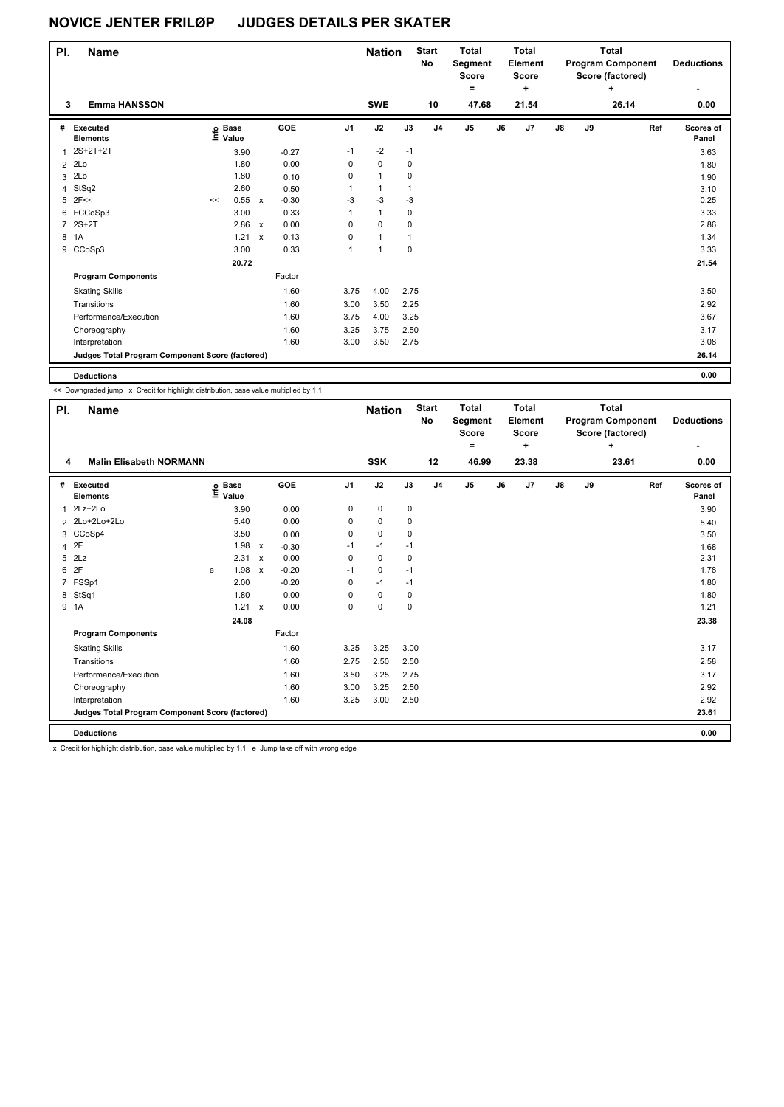| PI. | <b>Name</b>                                     |    |                   |              |         |                | <b>Nation</b>  |             | <b>Start</b><br>No | <b>Total</b><br>Segment<br><b>Score</b><br>٠ |    | Total<br>Element<br><b>Score</b><br>٠ |               |    | <b>Total</b><br><b>Program Component</b><br>Score (factored)<br>٠ | <b>Deductions</b>  |
|-----|-------------------------------------------------|----|-------------------|--------------|---------|----------------|----------------|-------------|--------------------|----------------------------------------------|----|---------------------------------------|---------------|----|-------------------------------------------------------------------|--------------------|
| 3   | <b>Emma HANSSON</b>                             |    |                   |              |         |                | <b>SWE</b>     |             | 10                 | 47.68                                        |    | 21.54                                 |               |    | 26.14                                                             | 0.00               |
| #   | Executed<br><b>Elements</b>                     |    | e Base<br>⊑ Value |              | GOE     | J <sub>1</sub> | J2             | J3          | J <sub>4</sub>     | J <sub>5</sub>                               | J6 | J <sub>7</sub>                        | $\mathsf{J}8$ | J9 | Ref                                                               | Scores of<br>Panel |
|     | $2S+2T+2T$                                      |    | 3.90              |              | $-0.27$ | $-1$           | $-2$           | $-1$        |                    |                                              |    |                                       |               |    |                                                                   | 3.63               |
|     | 2 2Lo                                           |    | 1.80              |              | 0.00    | 0              | $\mathbf 0$    | 0           |                    |                                              |    |                                       |               |    |                                                                   | 1.80               |
| 3   | 2Lo                                             |    | 1.80              |              | 0.10    | 0              | $\mathbf{1}$   | 0           |                    |                                              |    |                                       |               |    |                                                                   | 1.90               |
|     | 4 StSq2                                         |    | 2.60              |              | 0.50    | 1              | $\mathbf{1}$   | 1           |                    |                                              |    |                                       |               |    |                                                                   | 3.10               |
|     | $5$ 2F<<                                        | << | 0.55              | $\mathsf{x}$ | $-0.30$ | $-3$           | $-3$           | $-3$        |                    |                                              |    |                                       |               |    |                                                                   | 0.25               |
|     | 6 FCCoSp3                                       |    | 3.00              |              | 0.33    | 1              | $\mathbf{1}$   | 0           |                    |                                              |    |                                       |               |    |                                                                   | 3.33               |
|     | 7 2S+2T                                         |    | 2.86              | $\mathsf{x}$ | 0.00    | $\Omega$       | $\Omega$       | 0           |                    |                                              |    |                                       |               |    |                                                                   | 2.86               |
| 8   | 1A                                              |    | 1.21              | $\mathbf{x}$ | 0.13    | 0              | $\mathbf{1}$   | 1           |                    |                                              |    |                                       |               |    |                                                                   | 1.34               |
|     | 9 CCoSp3                                        |    | 3.00              |              | 0.33    | 1              | $\overline{1}$ | $\mathbf 0$ |                    |                                              |    |                                       |               |    |                                                                   | 3.33               |
|     |                                                 |    | 20.72             |              |         |                |                |             |                    |                                              |    |                                       |               |    |                                                                   | 21.54              |
|     | <b>Program Components</b>                       |    |                   |              | Factor  |                |                |             |                    |                                              |    |                                       |               |    |                                                                   |                    |
|     | <b>Skating Skills</b>                           |    |                   |              | 1.60    | 3.75           | 4.00           | 2.75        |                    |                                              |    |                                       |               |    |                                                                   | 3.50               |
|     | Transitions                                     |    |                   |              | 1.60    | 3.00           | 3.50           | 2.25        |                    |                                              |    |                                       |               |    |                                                                   | 2.92               |
|     | Performance/Execution                           |    |                   |              | 1.60    | 3.75           | 4.00           | 3.25        |                    |                                              |    |                                       |               |    |                                                                   | 3.67               |
|     | Choreography                                    |    |                   |              | 1.60    | 3.25           | 3.75           | 2.50        |                    |                                              |    |                                       |               |    |                                                                   | 3.17               |
|     | Interpretation                                  |    |                   |              | 1.60    | 3.00           | 3.50           | 2.75        |                    |                                              |    |                                       |               |    |                                                                   | 3.08               |
|     | Judges Total Program Component Score (factored) |    |                   |              |         |                |                |             |                    |                                              |    |                                       |               |    |                                                                   | 26.14              |
|     | <b>Deductions</b>                               |    |                   |              |         |                |                |             |                    |                                              |    |                                       |               |    |                                                                   | 0.00               |

<< Downgraded jump x Credit for highlight distribution, base value multiplied by 1.1

| <b>SSK</b><br><b>Malin Elisabeth NORMANN</b><br>12<br>46.99<br>23.38<br>23.61<br>4                                                                                                  | 0.00                      |
|-------------------------------------------------------------------------------------------------------------------------------------------------------------------------------------|---------------------------|
|                                                                                                                                                                                     |                           |
| J2<br>GOE<br>J <sub>1</sub><br>J3<br>$\mathsf{J}5$<br>J7<br>${\sf J8}$<br>J9<br>J <sub>4</sub><br>J6<br>#<br><b>Executed</b><br><b>Base</b><br>e Base<br>⊑ Value<br><b>Elements</b> | Ref<br>Scores of<br>Panel |
| $\mathbf 0$<br>2Lz+2Lo<br>$\mathbf 0$<br>0<br>3.90<br>0.00<br>1                                                                                                                     | 3.90                      |
| 0.00<br>2 2Lo+2Lo+2Lo<br>5.40<br>$\mathbf 0$<br>0<br>0                                                                                                                              | 5.40                      |
| $\mathbf 0$<br>CCoSp4<br>3.50<br>0<br>0<br>0.00<br>3                                                                                                                                | 3.50                      |
| 2F<br>1.98<br>$-1$<br>$-1$<br>$-1$<br>$\boldsymbol{\mathsf{x}}$<br>$-0.30$<br>$\overline{\mathbf{4}}$                                                                               | 1.68                      |
| 2Lz<br>5<br>2.31 x<br>0.00<br>$\mathbf 0$<br>0<br>0                                                                                                                                 | 2.31                      |
| 2F<br>$-0.20$<br>$\mathbf 0$<br>6<br>1.98<br>$-1$<br>$-1$<br>$\boldsymbol{\mathsf{x}}$<br>e                                                                                         | 1.78                      |
| FSSp1<br>2.00<br>$-0.20$<br>$-1$<br>0<br>$-1$<br>$\overline{7}$                                                                                                                     | 1.80                      |
| StSq1<br>1.80<br>0.00<br>$\mathbf 0$<br>0<br>8<br>0                                                                                                                                 | 1.80                      |
| 0.00<br>9 1A<br>1.21<br>$\Omega$<br>$\mathbf 0$<br>$\mathbf 0$<br>$\mathsf{x}$                                                                                                      | 1.21                      |
| 24.08                                                                                                                                                                               | 23.38                     |
| <b>Program Components</b><br>Factor                                                                                                                                                 |                           |
| 3.25<br>1.60<br>3.00<br><b>Skating Skills</b><br>3.25                                                                                                                               | 3.17                      |
| 1.60<br>2.50<br>Transitions<br>2.75<br>2.50                                                                                                                                         | 2.58                      |
| Performance/Execution<br>3.25<br>1.60<br>3.50<br>2.75                                                                                                                               | 3.17                      |
| 1.60<br>3.25<br>2.50<br>3.00<br>Choreography                                                                                                                                        | 2.92                      |
| 1.60<br>3.00<br>Interpretation<br>3.25<br>2.50                                                                                                                                      | 2.92                      |
| Judges Total Program Component Score (factored)                                                                                                                                     | 23.61                     |
| <b>Deductions</b>                                                                                                                                                                   | 0.00                      |

x Credit for highlight distribution, base value multiplied by 1.1 e Jump take off with wrong edge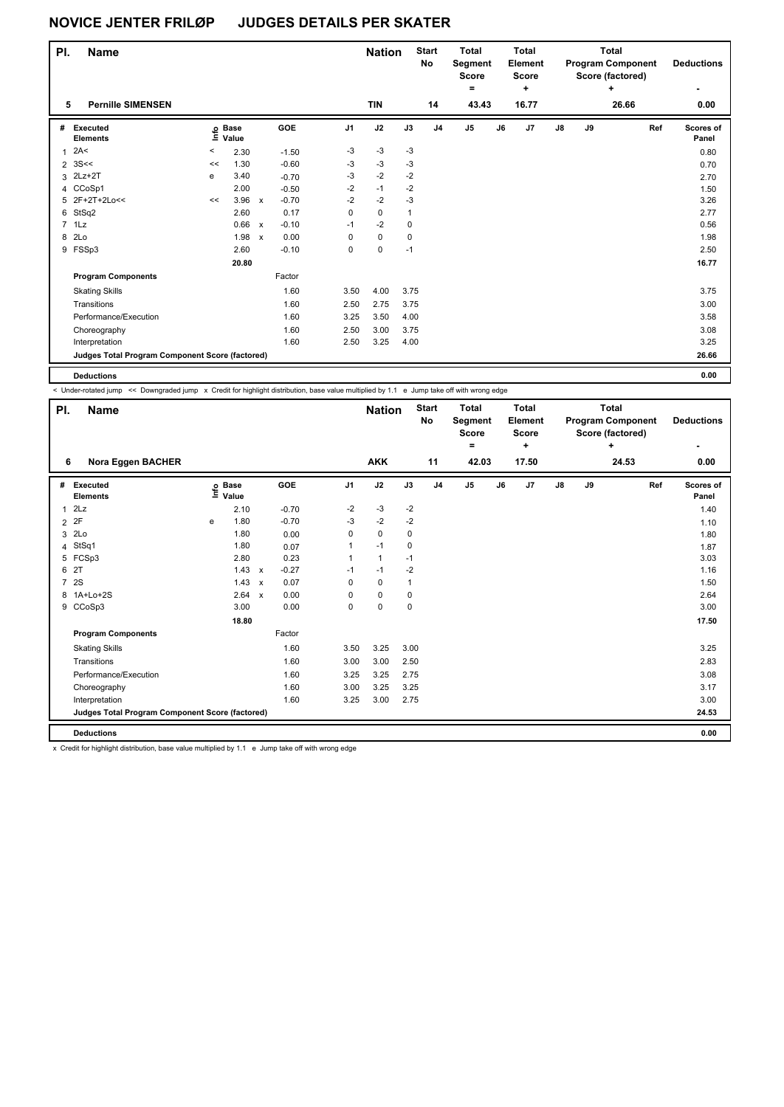| PI.            | <b>Name</b>                                     |         |                            |                           |         |                | <b>Nation</b> |              | <b>Start</b><br>No | <b>Total</b><br>Segment<br><b>Score</b><br>$=$ |    | <b>Total</b><br>Element<br><b>Score</b><br>$\ddot{}$ |               |    | <b>Total</b><br><b>Program Component</b><br>Score (factored)<br>٠ | <b>Deductions</b>         |
|----------------|-------------------------------------------------|---------|----------------------------|---------------------------|---------|----------------|---------------|--------------|--------------------|------------------------------------------------|----|------------------------------------------------------|---------------|----|-------------------------------------------------------------------|---------------------------|
| 5              | <b>Pernille SIMENSEN</b>                        |         |                            |                           |         |                | <b>TIN</b>    |              | 14                 | 43.43                                          |    | 16.77                                                |               |    | 26.66                                                             | 0.00                      |
| #              | Executed<br><b>Elements</b>                     |         | e Base<br>E Value<br>Value |                           | GOE     | J <sub>1</sub> | J2            | J3           | J <sub>4</sub>     | J5                                             | J6 | J <sub>7</sub>                                       | $\mathsf{J}8$ | J9 | Ref                                                               | <b>Scores of</b><br>Panel |
| 1              | 2A<                                             | $\,<\,$ | 2.30                       |                           | $-1.50$ | $-3$           | $-3$          | $-3$         |                    |                                                |    |                                                      |               |    |                                                                   | 0.80                      |
| $\overline{2}$ | 3S<<                                            | <<      | 1.30                       |                           | $-0.60$ | -3             | $-3$          | $-3$         |                    |                                                |    |                                                      |               |    |                                                                   | 0.70                      |
| 3              | $2Lz+2T$                                        | е       | 3.40                       |                           | $-0.70$ | $-3$           | $-2$          | $-2$         |                    |                                                |    |                                                      |               |    |                                                                   | 2.70                      |
|                | 4 CCoSp1                                        |         | 2.00                       |                           | $-0.50$ | $-2$           | $-1$          | $-2$         |                    |                                                |    |                                                      |               |    |                                                                   | 1.50                      |
|                | 5 2F+2T+2Lo<<                                   | <<      | 3.96                       | $\boldsymbol{\mathsf{x}}$ | $-0.70$ | $-2$           | $-2$          | $-3$         |                    |                                                |    |                                                      |               |    |                                                                   | 3.26                      |
| 6              | StSq2                                           |         | 2.60                       |                           | 0.17    | 0              | $\mathbf 0$   | $\mathbf{1}$ |                    |                                                |    |                                                      |               |    |                                                                   | 2.77                      |
|                | $7$ 1 Lz                                        |         | 0.66                       | $\boldsymbol{\mathsf{x}}$ | $-0.10$ | $-1$           | $-2$          | 0            |                    |                                                |    |                                                      |               |    |                                                                   | 0.56                      |
| 8              | 2Lo                                             |         | 1.98                       | $\mathsf{x}$              | 0.00    | $\Omega$       | $\mathbf 0$   | 0            |                    |                                                |    |                                                      |               |    |                                                                   | 1.98                      |
| 9              | FSSp3                                           |         | 2.60                       |                           | $-0.10$ | 0              | $\pmb{0}$     | $-1$         |                    |                                                |    |                                                      |               |    |                                                                   | 2.50                      |
|                |                                                 |         | 20.80                      |                           |         |                |               |              |                    |                                                |    |                                                      |               |    |                                                                   | 16.77                     |
|                | <b>Program Components</b>                       |         |                            |                           | Factor  |                |               |              |                    |                                                |    |                                                      |               |    |                                                                   |                           |
|                | <b>Skating Skills</b>                           |         |                            |                           | 1.60    | 3.50           | 4.00          | 3.75         |                    |                                                |    |                                                      |               |    |                                                                   | 3.75                      |
|                | Transitions                                     |         |                            |                           | 1.60    | 2.50           | 2.75          | 3.75         |                    |                                                |    |                                                      |               |    |                                                                   | 3.00                      |
|                | Performance/Execution                           |         |                            |                           | 1.60    | 3.25           | 3.50          | 4.00         |                    |                                                |    |                                                      |               |    |                                                                   | 3.58                      |
|                | Choreography                                    |         |                            |                           | 1.60    | 2.50           | 3.00          | 3.75         |                    |                                                |    |                                                      |               |    |                                                                   | 3.08                      |
|                | Interpretation                                  |         |                            |                           | 1.60    | 2.50           | 3.25          | 4.00         |                    |                                                |    |                                                      |               |    |                                                                   | 3.25                      |
|                | Judges Total Program Component Score (factored) |         |                            |                           |         |                |               |              |                    |                                                |    |                                                      |               |    |                                                                   | 26.66                     |
|                |                                                 |         |                            |                           |         |                |               |              |                    |                                                |    |                                                      |               |    |                                                                   |                           |

**Deductions 0.00**

< Under-rotated jump << Downgraded jump x Credit for highlight distribution, base value multiplied by 1.1 e Jump take off with wrong edge

| PI.            | <b>Name</b>                                     |   |                                  |              |         |                | <b>Nation</b> |              | <b>Start</b><br><b>No</b> | <b>Total</b><br>Segment<br><b>Score</b><br>۰ |    | <b>Total</b><br>Element<br>Score<br>٠ |               | <b>Total</b><br><b>Program Component</b><br>Score (factored) | <b>Deductions</b><br>٠ |     |                    |
|----------------|-------------------------------------------------|---|----------------------------------|--------------|---------|----------------|---------------|--------------|---------------------------|----------------------------------------------|----|---------------------------------------|---------------|--------------------------------------------------------------|------------------------|-----|--------------------|
| 6              | Nora Eggen BACHER                               |   |                                  |              |         |                | <b>AKK</b>    |              | 11                        | 42.03                                        |    | 17.50                                 |               |                                                              | 24.53                  |     | 0.00               |
| #              | Executed<br><b>Elements</b>                     |   | <b>Base</b><br>e Base<br>⊑ Value |              | GOE     | J <sub>1</sub> | J2            | J3           | J <sub>4</sub>            | J5                                           | J6 | J <sub>7</sub>                        | $\mathsf{J}8$ | J9                                                           |                        | Ref | Scores of<br>Panel |
| $\overline{1}$ | 2Lz                                             |   | 2.10                             |              | $-0.70$ | $-2$           | $-3$          | $-2$         |                           |                                              |    |                                       |               |                                                              |                        |     | 1.40               |
|                | 2 2F                                            | e | 1.80                             |              | $-0.70$ | $-3$           | $-2$          | $-2$         |                           |                                              |    |                                       |               |                                                              |                        |     | 1.10               |
| 3              | 2Lo                                             |   | 1.80                             |              | 0.00    | 0              | $\mathbf 0$   | 0            |                           |                                              |    |                                       |               |                                                              |                        |     | 1.80               |
| 4              | StSq1                                           |   | 1.80                             |              | 0.07    | 1              | $-1$          | 0            |                           |                                              |    |                                       |               |                                                              |                        |     | 1.87               |
| 5              | FCSp3                                           |   | 2.80                             |              | 0.23    | 1              | $\mathbf{1}$  | $-1$         |                           |                                              |    |                                       |               |                                                              |                        |     | 3.03               |
| 6              | 2T                                              |   | 1.43                             | $\mathsf{x}$ | $-0.27$ | $-1$           | $-1$          | $-2$         |                           |                                              |    |                                       |               |                                                              |                        |     | 1.16               |
| $\overline{7}$ | 2S                                              |   | 1.43                             | $\mathsf{x}$ | 0.07    | $\Omega$       | 0             | $\mathbf{1}$ |                           |                                              |    |                                       |               |                                                              |                        |     | 1.50               |
| 8              | $1A+Lo+2S$                                      |   | 2.64                             | $\mathsf{x}$ | 0.00    | $\Omega$       | $\mathbf 0$   | 0            |                           |                                              |    |                                       |               |                                                              |                        |     | 2.64               |
|                | 9 CCoSp3                                        |   | 3.00                             |              | 0.00    | $\Omega$       | $\mathbf 0$   | $\mathbf 0$  |                           |                                              |    |                                       |               |                                                              |                        |     | 3.00               |
|                |                                                 |   | 18.80                            |              |         |                |               |              |                           |                                              |    |                                       |               |                                                              |                        |     | 17.50              |
|                | <b>Program Components</b>                       |   |                                  |              | Factor  |                |               |              |                           |                                              |    |                                       |               |                                                              |                        |     |                    |
|                | <b>Skating Skills</b>                           |   |                                  |              | 1.60    | 3.50           | 3.25          | 3.00         |                           |                                              |    |                                       |               |                                                              |                        |     | 3.25               |
|                | Transitions                                     |   |                                  |              | 1.60    | 3.00           | 3.00          | 2.50         |                           |                                              |    |                                       |               |                                                              |                        |     | 2.83               |
|                | Performance/Execution                           |   |                                  |              | 1.60    | 3.25           | 3.25          | 2.75         |                           |                                              |    |                                       |               |                                                              |                        |     | 3.08               |
|                | Choreography                                    |   |                                  |              | 1.60    | 3.00           | 3.25          | 3.25         |                           |                                              |    |                                       |               |                                                              |                        |     | 3.17               |
|                | Interpretation                                  |   |                                  |              | 1.60    | 3.25           | 3.00          | 2.75         |                           |                                              |    |                                       |               |                                                              |                        |     | 3.00               |
|                | Judges Total Program Component Score (factored) |   |                                  |              |         |                |               |              |                           |                                              |    |                                       |               |                                                              |                        |     | 24.53              |
|                | <b>Deductions</b>                               |   |                                  |              |         |                |               |              |                           |                                              |    |                                       |               |                                                              |                        |     | 0.00               |

x Credit for highlight distribution, base value multiplied by 1.1 e Jump take off with wrong edge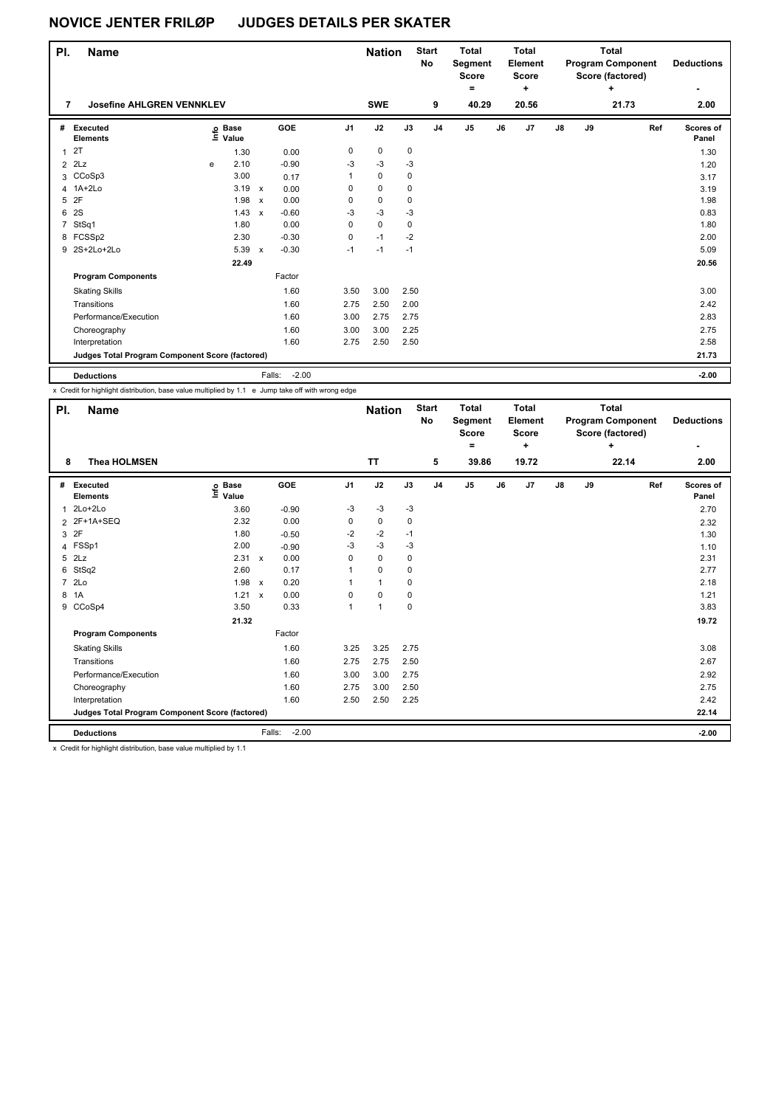| PI.            | <b>Name</b>                                     |   |                   | <b>Nation</b> |                   | <b>Start</b><br>No | <b>Total</b><br>Segment<br><b>Score</b><br>۰ |      | <b>Total</b><br>Element<br><b>Score</b><br>٠ |                |    | <b>Total</b><br><b>Program Component</b><br>Score (factored)<br>٠ | <b>Deductions</b> |    |       |                    |
|----------------|-------------------------------------------------|---|-------------------|---------------|-------------------|--------------------|----------------------------------------------|------|----------------------------------------------|----------------|----|-------------------------------------------------------------------|-------------------|----|-------|--------------------|
| 7              | <b>Josefine AHLGREN VENNKLEV</b>                |   |                   |               |                   |                    | <b>SWE</b>                                   |      | 9                                            | 40.29          |    | 20.56                                                             |                   |    | 21.73 | 2.00               |
| #              | Executed<br><b>Elements</b>                     |   | e Base<br>⊑ Value |               | GOE               | J1                 | J2                                           | J3   | J <sub>4</sub>                               | J <sub>5</sub> | J6 | J7                                                                | J8                | J9 | Ref   | Scores of<br>Panel |
| $\mathbf{1}$   | 2T                                              |   | 1.30              |               | 0.00              | 0                  | 0                                            | 0    |                                              |                |    |                                                                   |                   |    |       | 1.30               |
| $\overline{2}$ | 2Lz                                             | e | 2.10              |               | $-0.90$           | -3                 | $-3$                                         | -3   |                                              |                |    |                                                                   |                   |    |       | 1.20               |
| 3              | CCoSp3                                          |   | 3.00              |               | 0.17              | 1                  | 0                                            | 0    |                                              |                |    |                                                                   |                   |    |       | 3.17               |
|                | 4 1A+2Lo                                        |   | 3.19              | $\mathsf{x}$  | 0.00              | 0                  | $\pmb{0}$                                    | 0    |                                              |                |    |                                                                   |                   |    |       | 3.19               |
| 5              | 2F                                              |   | 1.98              | $\mathsf{x}$  | 0.00              | 0                  | $\pmb{0}$                                    | 0    |                                              |                |    |                                                                   |                   |    |       | 1.98               |
| 6              | 2S                                              |   | 1.43              | $\mathsf{x}$  | $-0.60$           | -3                 | $-3$                                         | $-3$ |                                              |                |    |                                                                   |                   |    |       | 0.83               |
| $\overline{7}$ | StSq1                                           |   | 1.80              |               | 0.00              | 0                  | $\mathbf 0$                                  | 0    |                                              |                |    |                                                                   |                   |    |       | 1.80               |
|                | 8 FCSSp2                                        |   | 2.30              |               | $-0.30$           | 0                  | $-1$                                         | $-2$ |                                              |                |    |                                                                   |                   |    |       | 2.00               |
|                | 9 2S+2Lo+2Lo                                    |   | 5.39              | $\mathsf{x}$  | $-0.30$           | $-1$               | $-1$                                         | $-1$ |                                              |                |    |                                                                   |                   |    |       | 5.09               |
|                |                                                 |   | 22.49             |               |                   |                    |                                              |      |                                              |                |    |                                                                   |                   |    |       | 20.56              |
|                | <b>Program Components</b>                       |   |                   |               | Factor            |                    |                                              |      |                                              |                |    |                                                                   |                   |    |       |                    |
|                | <b>Skating Skills</b>                           |   |                   |               | 1.60              | 3.50               | 3.00                                         | 2.50 |                                              |                |    |                                                                   |                   |    |       | 3.00               |
|                | Transitions                                     |   |                   |               | 1.60              | 2.75               | 2.50                                         | 2.00 |                                              |                |    |                                                                   |                   |    |       | 2.42               |
|                | Performance/Execution                           |   |                   |               | 1.60              | 3.00               | 2.75                                         | 2.75 |                                              |                |    |                                                                   |                   |    |       | 2.83               |
|                | Choreography                                    |   |                   |               | 1.60              | 3.00               | 3.00                                         | 2.25 |                                              |                |    |                                                                   |                   |    |       | 2.75               |
|                | Interpretation                                  |   |                   |               | 1.60              | 2.75               | 2.50                                         | 2.50 |                                              |                |    |                                                                   |                   |    |       | 2.58               |
|                | Judges Total Program Component Score (factored) |   |                   |               |                   |                    |                                              |      |                                              |                |    |                                                                   |                   |    |       | 21.73              |
|                | <b>Deductions</b>                               |   |                   |               | Falls:<br>$-2.00$ |                    |                                              |      |                                              |                |    |                                                                   |                   |    |       | $-2.00$            |

x Credit for highlight distribution, base value multiplied by 1.1 e Jump take off with wrong edge

| PI.            | <b>Name</b>                                                      |                                  |                           |         |                | <b>Nation</b>  |      | <b>Start</b><br>No | <b>Total</b><br>Segment<br><b>Score</b><br>= |    | <b>Total</b><br><b>Element</b><br><b>Score</b><br>٠ |    |    | <b>Total</b><br><b>Program Component</b><br>Score (factored)<br>÷ |     | <b>Deductions</b>  |
|----------------|------------------------------------------------------------------|----------------------------------|---------------------------|---------|----------------|----------------|------|--------------------|----------------------------------------------|----|-----------------------------------------------------|----|----|-------------------------------------------------------------------|-----|--------------------|
| 8              | <b>Thea HOLMSEN</b>                                              |                                  |                           |         |                | <b>TT</b>      |      | 5                  | 39.86                                        |    | 19.72                                               |    |    | 22.14                                                             |     | 2.00               |
| #              | <b>Executed</b><br><b>Elements</b>                               | <b>Base</b><br>e Base<br>≞ Value |                           | GOE     | J <sub>1</sub> | J2             | J3   | J <sub>4</sub>     | J <sub>5</sub>                               | J6 | J7                                                  | J8 | J9 |                                                                   | Ref | Scores of<br>Panel |
| 1              | 2Lo+2Lo                                                          | 3.60                             |                           | $-0.90$ | -3             | -3             | $-3$ |                    |                                              |    |                                                     |    |    |                                                                   |     | 2.70               |
|                | 2 2F+1A+SEQ                                                      | 2.32                             |                           | 0.00    | 0              | $\mathbf 0$    | 0    |                    |                                              |    |                                                     |    |    |                                                                   |     | 2.32               |
| 3              | 2F                                                               | 1.80                             |                           | $-0.50$ | -2             | $-2$           | $-1$ |                    |                                              |    |                                                     |    |    |                                                                   |     | 1.30               |
|                | 4 FSSp1                                                          | 2.00                             |                           | $-0.90$ | $-3$           | $-3$           | $-3$ |                    |                                              |    |                                                     |    |    |                                                                   |     | 1.10               |
| 5              | 2Lz                                                              | 2.31                             | $\mathsf{x}$              | 0.00    | 0              | 0              | 0    |                    |                                              |    |                                                     |    |    |                                                                   |     | 2.31               |
| 6              | StSq2                                                            | 2.60                             |                           | 0.17    |                | $\mathbf 0$    | 0    |                    |                                              |    |                                                     |    |    |                                                                   |     | 2.77               |
| $\overline{7}$ | 2Lo                                                              | 1.98                             | $\mathsf{x}$              | 0.20    |                | $\overline{1}$ | 0    |                    |                                              |    |                                                     |    |    |                                                                   |     | 2.18               |
| 8              | 1A                                                               | 1.21                             | $\boldsymbol{\mathsf{x}}$ | 0.00    | 0              | $\mathbf 0$    | 0    |                    |                                              |    |                                                     |    |    |                                                                   |     | 1.21               |
| 9              | CCoSp4                                                           | 3.50                             |                           | 0.33    | $\mathbf{1}$   | $\mathbf{1}$   | 0    |                    |                                              |    |                                                     |    |    |                                                                   |     | 3.83               |
|                |                                                                  | 21.32                            |                           |         |                |                |      |                    |                                              |    |                                                     |    |    |                                                                   |     | 19.72              |
|                | <b>Program Components</b>                                        |                                  |                           | Factor  |                |                |      |                    |                                              |    |                                                     |    |    |                                                                   |     |                    |
|                | <b>Skating Skills</b>                                            |                                  |                           | 1.60    | 3.25           | 3.25           | 2.75 |                    |                                              |    |                                                     |    |    |                                                                   |     | 3.08               |
|                | Transitions                                                      |                                  |                           | 1.60    | 2.75           | 2.75           | 2.50 |                    |                                              |    |                                                     |    |    |                                                                   |     | 2.67               |
|                | Performance/Execution                                            |                                  |                           | 1.60    | 3.00           | 3.00           | 2.75 |                    |                                              |    |                                                     |    |    |                                                                   |     | 2.92               |
|                | Choreography                                                     |                                  |                           | 1.60    | 2.75           | 3.00           | 2.50 |                    |                                              |    |                                                     |    |    |                                                                   |     | 2.75               |
|                | Interpretation                                                   |                                  |                           | 1.60    | 2.50           | 2.50           | 2.25 |                    |                                              |    |                                                     |    |    |                                                                   |     | 2.42               |
|                | Judges Total Program Component Score (factored)                  |                                  |                           |         |                |                |      |                    |                                              |    |                                                     |    |    |                                                                   |     | 22.14              |
|                | <b>Deductions</b>                                                |                                  | Falls:                    | $-2.00$ |                |                |      |                    |                                              |    |                                                     |    |    |                                                                   |     | $-2.00$            |
|                | Credit for bighlight distribution, boog uplus multiplied by 4.4. |                                  |                           |         |                |                |      |                    |                                              |    |                                                     |    |    |                                                                   |     |                    |

x Credit for highlight distribution, base value multiplied by 1.1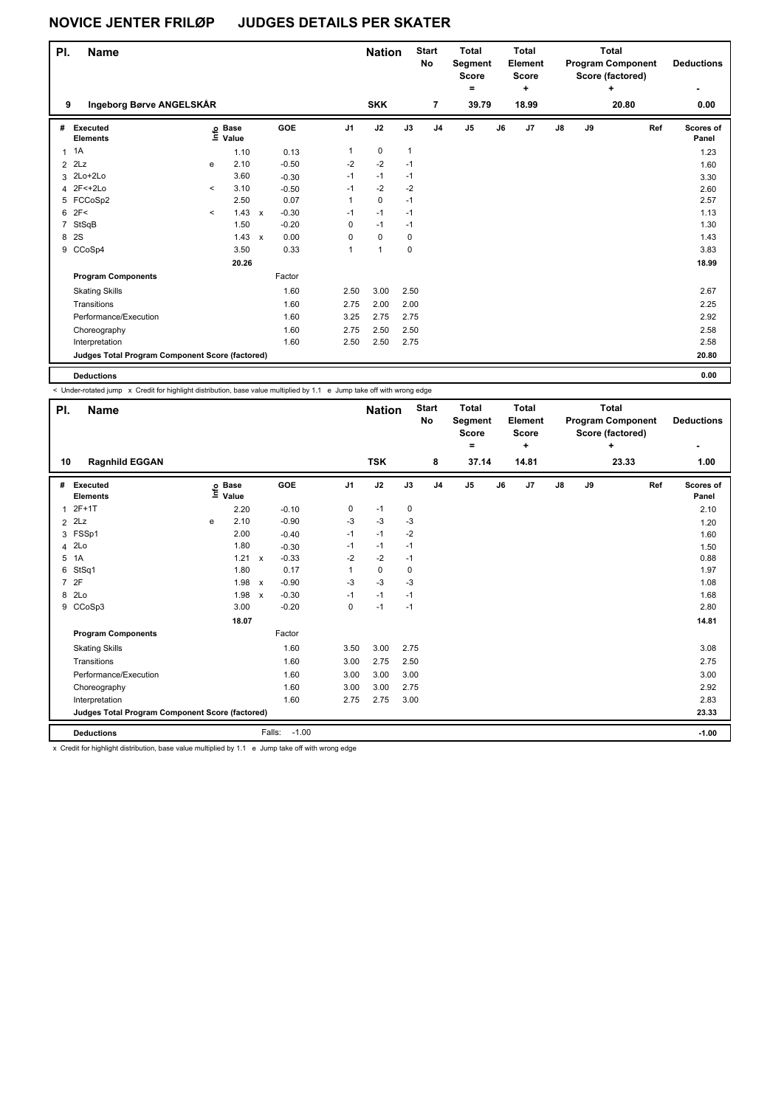| PI.          | <b>Name</b>                                     |         | <b>Nation</b>     |                           | <b>Start</b><br>No | <b>Total</b><br>Segment<br><b>Score</b><br>۰ |              | Total<br>Element<br><b>Score</b><br>÷ |                |                | Total<br><b>Program Component</b><br>Score (factored)<br>÷ | <b>Deductions</b><br>٠ |               |    |       |                    |
|--------------|-------------------------------------------------|---------|-------------------|---------------------------|--------------------|----------------------------------------------|--------------|---------------------------------------|----------------|----------------|------------------------------------------------------------|------------------------|---------------|----|-------|--------------------|
| 9            | Ingeborg Børve ANGELSKÅR                        |         |                   |                           |                    |                                              | <b>SKK</b>   |                                       | $\overline{7}$ | 39.79          |                                                            | 18.99                  |               |    | 20.80 | 0.00               |
| #            | Executed<br><b>Elements</b>                     |         | e Base<br>⊑ Value |                           | GOE                | J <sub>1</sub>                               | J2           | J3                                    | J <sub>4</sub> | J <sub>5</sub> | J6                                                         | J7                     | $\mathsf{J}8$ | J9 | Ref   | Scores of<br>Panel |
| $\mathbf{1}$ | 1A                                              |         | 1.10              |                           | 0.13               | 1                                            | 0            | $\mathbf{1}$                          |                |                |                                                            |                        |               |    |       | 1.23               |
| 2            | 2Lz                                             | e       | 2.10              |                           | $-0.50$            | $-2$                                         | $-2$         | $-1$                                  |                |                |                                                            |                        |               |    |       | 1.60               |
| 3            | 2Lo+2Lo                                         |         | 3.60              |                           | $-0.30$            | $-1$                                         | $-1$         | $-1$                                  |                |                |                                                            |                        |               |    |       | 3.30               |
|              | 4 2F<+2Lo                                       | $\prec$ | 3.10              |                           | $-0.50$            | $-1$                                         | $-2$         | $-2$                                  |                |                |                                                            |                        |               |    |       | 2.60               |
|              | 5 FCCoSp2                                       |         | 2.50              |                           | 0.07               | 1                                            | $\mathbf 0$  | $-1$                                  |                |                |                                                            |                        |               |    |       | 2.57               |
| 6            | 2F<                                             | $\prec$ | 1.43              | $\mathsf{x}$              | $-0.30$            | $-1$                                         | $-1$         | $-1$                                  |                |                |                                                            |                        |               |    |       | 1.13               |
| 7            | StSqB                                           |         | 1.50              |                           | $-0.20$            | 0                                            | $-1$         | $-1$                                  |                |                |                                                            |                        |               |    |       | 1.30               |
| 8            | 2S                                              |         | 1.43              | $\boldsymbol{\mathsf{x}}$ | 0.00               | 0                                            | $\mathbf 0$  | 0                                     |                |                |                                                            |                        |               |    |       | 1.43               |
| 9            | CCoSp4                                          |         | 3.50              |                           | 0.33               | 1                                            | $\mathbf{1}$ | 0                                     |                |                |                                                            |                        |               |    |       | 3.83               |
|              |                                                 |         | 20.26             |                           |                    |                                              |              |                                       |                |                |                                                            |                        |               |    |       | 18.99              |
|              | <b>Program Components</b>                       |         |                   |                           | Factor             |                                              |              |                                       |                |                |                                                            |                        |               |    |       |                    |
|              | <b>Skating Skills</b>                           |         |                   |                           | 1.60               | 2.50                                         | 3.00         | 2.50                                  |                |                |                                                            |                        |               |    |       | 2.67               |
|              | Transitions                                     |         |                   |                           | 1.60               | 2.75                                         | 2.00         | 2.00                                  |                |                |                                                            |                        |               |    |       | 2.25               |
|              | Performance/Execution                           |         |                   |                           | 1.60               | 3.25                                         | 2.75         | 2.75                                  |                |                |                                                            |                        |               |    |       | 2.92               |
|              | Choreography                                    |         |                   |                           | 1.60               | 2.75                                         | 2.50         | 2.50                                  |                |                |                                                            |                        |               |    |       | 2.58               |
|              | Interpretation                                  |         |                   |                           | 1.60               | 2.50                                         | 2.50         | 2.75                                  |                |                |                                                            |                        |               |    |       | 2.58               |
|              | Judges Total Program Component Score (factored) |         |                   |                           |                    |                                              |              |                                       |                |                |                                                            |                        |               |    |       | 20.80              |
|              |                                                 |         |                   |                           |                    |                                              |              |                                       |                |                |                                                            |                        |               |    |       |                    |

**Deductions 0.00**

< Under-rotated jump x Credit for highlight distribution, base value multiplied by 1.1 e Jump take off with wrong edge

| PI.            | <b>Name</b>                                     |   |                                  |                           |                   |      | <b>Nation</b> |      | <b>Start</b><br>No | <b>Total</b><br>Segment<br><b>Score</b><br>$\equiv$ |    | <b>Total</b><br>Element<br><b>Score</b><br>٠ |    |    | <b>Total</b><br><b>Program Component</b><br>Score (factored)<br>÷ |     | <b>Deductions</b><br>٠ |
|----------------|-------------------------------------------------|---|----------------------------------|---------------------------|-------------------|------|---------------|------|--------------------|-----------------------------------------------------|----|----------------------------------------------|----|----|-------------------------------------------------------------------|-----|------------------------|
| 10             | <b>Ragnhild EGGAN</b>                           |   |                                  |                           |                   |      | <b>TSK</b>    |      | 8                  | 37.14                                               |    | 14.81                                        |    |    | 23.33                                                             |     | 1.00                   |
| #              | Executed<br><b>Elements</b>                     |   | <b>Base</b><br>e Base<br>⊑ Value |                           | GOE               | J1   | J2            | J3   | J <sub>4</sub>     | J <sub>5</sub>                                      | J6 | J7                                           | J8 | J9 |                                                                   | Ref | Scores of<br>Panel     |
| $\overline{1}$ | $2F+1T$                                         |   | 2.20                             |                           | $-0.10$           | 0    | $-1$          | 0    |                    |                                                     |    |                                              |    |    |                                                                   |     | 2.10                   |
| $\overline{2}$ | 2Lz                                             | e | 2.10                             |                           | $-0.90$           | -3   | $-3$          | $-3$ |                    |                                                     |    |                                              |    |    |                                                                   |     | 1.20                   |
| 3              | FSSp1                                           |   | 2.00                             |                           | $-0.40$           | $-1$ | $-1$          | $-2$ |                    |                                                     |    |                                              |    |    |                                                                   |     | 1.60                   |
| 4              | 2Lo                                             |   | 1.80                             |                           | $-0.30$           | $-1$ | $-1$          | $-1$ |                    |                                                     |    |                                              |    |    |                                                                   |     | 1.50                   |
| 5              | 1A                                              |   | 1.21                             | $\mathsf{x}$              | $-0.33$           | $-2$ | $-2$          | $-1$ |                    |                                                     |    |                                              |    |    |                                                                   |     | 0.88                   |
| 6              | StSq1                                           |   | 1.80                             |                           | 0.17              |      | 0             | 0    |                    |                                                     |    |                                              |    |    |                                                                   |     | 1.97                   |
| $\overline{7}$ | 2F                                              |   | 1.98                             | $\boldsymbol{\mathsf{x}}$ | $-0.90$           | -3   | $-3$          | -3   |                    |                                                     |    |                                              |    |    |                                                                   |     | 1.08                   |
| 8              | 2Lo                                             |   | 1.98                             | $\boldsymbol{\mathsf{x}}$ | $-0.30$           | $-1$ | $-1$          | $-1$ |                    |                                                     |    |                                              |    |    |                                                                   |     | 1.68                   |
| 9              | CCoSp3                                          |   | 3.00                             |                           | $-0.20$           | 0    | $-1$          | $-1$ |                    |                                                     |    |                                              |    |    |                                                                   |     | 2.80                   |
|                |                                                 |   | 18.07                            |                           |                   |      |               |      |                    |                                                     |    |                                              |    |    |                                                                   |     | 14.81                  |
|                | <b>Program Components</b>                       |   |                                  |                           | Factor            |      |               |      |                    |                                                     |    |                                              |    |    |                                                                   |     |                        |
|                | <b>Skating Skills</b>                           |   |                                  |                           | 1.60              | 3.50 | 3.00          | 2.75 |                    |                                                     |    |                                              |    |    |                                                                   |     | 3.08                   |
|                | Transitions                                     |   |                                  |                           | 1.60              | 3.00 | 2.75          | 2.50 |                    |                                                     |    |                                              |    |    |                                                                   |     | 2.75                   |
|                | Performance/Execution                           |   |                                  |                           | 1.60              | 3.00 | 3.00          | 3.00 |                    |                                                     |    |                                              |    |    |                                                                   |     | 3.00                   |
|                | Choreography                                    |   |                                  |                           | 1.60              | 3.00 | 3.00          | 2.75 |                    |                                                     |    |                                              |    |    |                                                                   |     | 2.92                   |
|                | Interpretation                                  |   |                                  |                           | 1.60              | 2.75 | 2.75          | 3.00 |                    |                                                     |    |                                              |    |    |                                                                   |     | 2.83                   |
|                | Judges Total Program Component Score (factored) |   |                                  |                           |                   |      |               |      |                    |                                                     |    |                                              |    |    |                                                                   |     | 23.33                  |
|                | <b>Deductions</b>                               |   |                                  |                           | $-1.00$<br>Falls: |      |               |      |                    |                                                     |    |                                              |    |    |                                                                   |     | $-1.00$                |

x Credit for highlight distribution, base value multiplied by 1.1 e Jump take off with wrong edge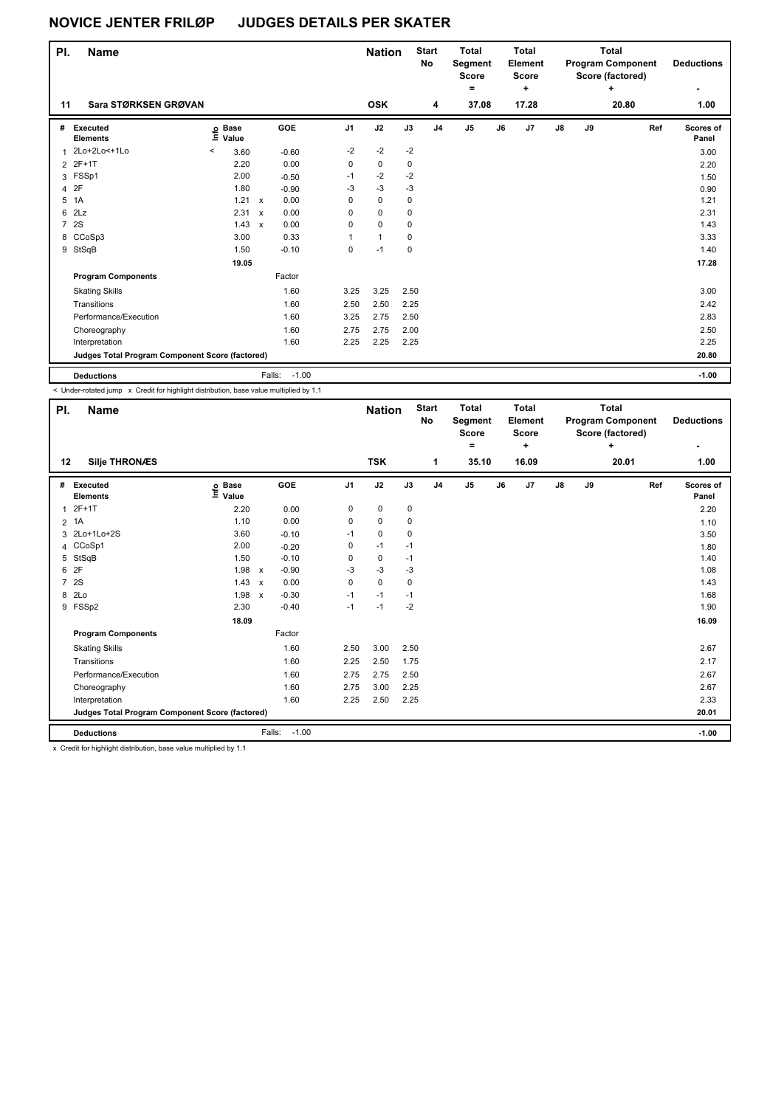| PI.            | <b>Name</b>                                     |                            |       | <b>Nation</b> |                   | <b>Start</b><br><b>No</b> | <b>Total</b><br>Segment<br><b>Score</b><br>۰ |             | <b>Total</b><br>Element<br>Score<br>٠ |               |    | <b>Total</b><br><b>Program Component</b><br>Score (factored)<br>٠ | <b>Deductions</b> |    |       |                    |
|----------------|-------------------------------------------------|----------------------------|-------|---------------|-------------------|---------------------------|----------------------------------------------|-------------|---------------------------------------|---------------|----|-------------------------------------------------------------------|-------------------|----|-------|--------------------|
| 11             | Sara STØRKSEN GRØVAN                            |                            |       |               |                   |                           | <b>OSK</b>                                   |             | 4                                     | 37.08         |    | 17.28                                                             |                   |    | 20.80 | 1.00               |
| #              | Executed<br><b>Elements</b>                     | e Base<br>⊆ Value<br>Value |       |               | GOE               | J <sub>1</sub>            | J2                                           | J3          | J <sub>4</sub>                        | $\mathsf{J}5$ | J6 | J7                                                                | ${\sf J8}$        | J9 | Ref   | Scores of<br>Panel |
| 1              | 2Lo+2Lo<+1Lo                                    | $\,<\,$                    | 3.60  |               | $-0.60$           | $-2$                      | $-2$                                         | $-2$        |                                       |               |    |                                                                   |                   |    |       | 3.00               |
|                | 2 2F+1T                                         |                            | 2.20  |               | 0.00              | 0                         | 0                                            | 0           |                                       |               |    |                                                                   |                   |    |       | 2.20               |
|                | 3 FSSp1                                         |                            | 2.00  |               | $-0.50$           | $-1$                      | $-2$                                         | $-2$        |                                       |               |    |                                                                   |                   |    |       | 1.50               |
| 4              | 2F                                              |                            | 1.80  |               | $-0.90$           | $-3$                      | $-3$                                         | $-3$        |                                       |               |    |                                                                   |                   |    |       | 0.90               |
| 5              | 1A                                              |                            | 1.21  | $\mathsf{x}$  | 0.00              | 0                         | $\pmb{0}$                                    | 0           |                                       |               |    |                                                                   |                   |    |       | 1.21               |
| 6              | 2Lz                                             |                            | 2.31  | $\mathsf{x}$  | 0.00              | 0                         | 0                                            | 0           |                                       |               |    |                                                                   |                   |    |       | 2.31               |
| $\overline{7}$ | 2S                                              |                            | 1.43  | $\mathsf{x}$  | 0.00              | 0                         | $\mathbf 0$                                  | 0           |                                       |               |    |                                                                   |                   |    |       | 1.43               |
| 8              | CCoSp3                                          |                            | 3.00  |               | 0.33              | 1                         | $\mathbf{1}$                                 | 0           |                                       |               |    |                                                                   |                   |    |       | 3.33               |
| 9              | StSqB                                           |                            | 1.50  |               | $-0.10$           | 0                         | $-1$                                         | $\mathbf 0$ |                                       |               |    |                                                                   |                   |    |       | 1.40               |
|                |                                                 |                            | 19.05 |               |                   |                           |                                              |             |                                       |               |    |                                                                   |                   |    |       | 17.28              |
|                | <b>Program Components</b>                       |                            |       |               | Factor            |                           |                                              |             |                                       |               |    |                                                                   |                   |    |       |                    |
|                | <b>Skating Skills</b>                           |                            |       |               | 1.60              | 3.25                      | 3.25                                         | 2.50        |                                       |               |    |                                                                   |                   |    |       | 3.00               |
|                | Transitions                                     |                            |       |               | 1.60              | 2.50                      | 2.50                                         | 2.25        |                                       |               |    |                                                                   |                   |    |       | 2.42               |
|                | Performance/Execution                           |                            |       |               | 1.60              | 3.25                      | 2.75                                         | 2.50        |                                       |               |    |                                                                   |                   |    |       | 2.83               |
|                | Choreography                                    |                            |       |               | 1.60              | 2.75                      | 2.75                                         | 2.00        |                                       |               |    |                                                                   |                   |    |       | 2.50               |
|                | Interpretation                                  |                            |       |               | 1.60              | 2.25                      | 2.25                                         | 2.25        |                                       |               |    |                                                                   |                   |    |       | 2.25               |
|                | Judges Total Program Component Score (factored) |                            |       |               |                   |                           |                                              |             |                                       |               |    |                                                                   |                   |    |       | 20.80              |
|                | <b>Deductions</b>                               |                            |       |               | Falls:<br>$-1.00$ |                           |                                              |             |                                       |               |    |                                                                   |                   |    |       | $-1.00$            |

< Under-rotated jump x Credit for highlight distribution, base value multiplied by 1.1

| PI.            | Name                                                                                           |                                  |                           |         |                | <b>Nation</b> |      | <b>Start</b><br>No | <b>Total</b><br>Segment<br>Score<br>٠ |    | <b>Total</b><br>Element<br><b>Score</b> |    |    | <b>Total</b><br><b>Program Component</b><br>Score (factored)<br>÷ |     | <b>Deductions</b> |
|----------------|------------------------------------------------------------------------------------------------|----------------------------------|---------------------------|---------|----------------|---------------|------|--------------------|---------------------------------------|----|-----------------------------------------|----|----|-------------------------------------------------------------------|-----|-------------------|
| 12             | <b>Silje THRONÆS</b>                                                                           |                                  |                           |         |                | <b>TSK</b>    |      | 1                  | 35.10                                 |    | ٠<br>16.09                              |    |    | 20.01                                                             |     | ٠<br>1.00         |
| #              | Executed                                                                                       | <b>Base</b><br>e Base<br>⊑ Value |                           | GOE     | J <sub>1</sub> | J2            | J3   | J <sub>4</sub>     | J <sub>5</sub>                        | J6 | J7                                      | J8 | J9 |                                                                   | Ref | Scores of         |
|                | <b>Elements</b>                                                                                |                                  |                           |         |                |               |      |                    |                                       |    |                                         |    |    |                                                                   |     | Panel             |
| $\mathbf{1}$   | $2F+1T$                                                                                        | 2.20                             |                           | 0.00    | 0              | $\mathbf 0$   | 0    |                    |                                       |    |                                         |    |    |                                                                   |     | 2.20              |
| $\overline{2}$ | 1A                                                                                             | 1.10                             |                           | 0.00    | 0              | $\mathbf 0$   | 0    |                    |                                       |    |                                         |    |    |                                                                   |     | 1.10              |
| 3              | 2Lo+1Lo+2S                                                                                     | 3.60                             |                           | $-0.10$ | $-1$           | $\mathbf 0$   | 0    |                    |                                       |    |                                         |    |    |                                                                   |     | 3.50              |
| 4              | CCoSp1                                                                                         | 2.00                             |                           | $-0.20$ | 0              | $-1$          | $-1$ |                    |                                       |    |                                         |    |    |                                                                   |     | 1.80              |
| 5              | StSqB                                                                                          | 1.50                             |                           | $-0.10$ | 0              | 0             | $-1$ |                    |                                       |    |                                         |    |    |                                                                   |     | 1.40              |
| 6              | 2F                                                                                             | 1.98                             | $\mathsf{x}$              | $-0.90$ | -3             | $-3$          | $-3$ |                    |                                       |    |                                         |    |    |                                                                   |     | 1.08              |
| $\overline{7}$ | 2S                                                                                             | 1.43                             | $\boldsymbol{\mathsf{x}}$ | 0.00    | 0              | $\mathbf 0$   | 0    |                    |                                       |    |                                         |    |    |                                                                   |     | 1.43              |
| 8              | 2Lo                                                                                            | 1.98                             | $\mathsf{x}$              | $-0.30$ | $-1$           | $-1$          | $-1$ |                    |                                       |    |                                         |    |    |                                                                   |     | 1.68              |
|                | 9 FSSp2                                                                                        | 2.30                             |                           | $-0.40$ | $-1$           | $-1$          | $-2$ |                    |                                       |    |                                         |    |    |                                                                   |     | 1.90              |
|                |                                                                                                | 18.09                            |                           |         |                |               |      |                    |                                       |    |                                         |    |    |                                                                   |     | 16.09             |
|                | <b>Program Components</b>                                                                      |                                  |                           | Factor  |                |               |      |                    |                                       |    |                                         |    |    |                                                                   |     |                   |
|                | <b>Skating Skills</b>                                                                          |                                  |                           | 1.60    | 2.50           | 3.00          | 2.50 |                    |                                       |    |                                         |    |    |                                                                   |     | 2.67              |
|                | Transitions                                                                                    |                                  |                           | 1.60    | 2.25           | 2.50          | 1.75 |                    |                                       |    |                                         |    |    |                                                                   |     | 2.17              |
|                | Performance/Execution                                                                          |                                  |                           | 1.60    | 2.75           | 2.75          | 2.50 |                    |                                       |    |                                         |    |    |                                                                   |     | 2.67              |
|                | Choreography                                                                                   |                                  |                           | 1.60    | 2.75           | 3.00          | 2.25 |                    |                                       |    |                                         |    |    |                                                                   |     | 2.67              |
|                | Interpretation                                                                                 |                                  |                           | 1.60    | 2.25           | 2.50          | 2.25 |                    |                                       |    |                                         |    |    |                                                                   |     | 2.33              |
|                | Judges Total Program Component Score (factored)                                                |                                  |                           |         |                |               |      |                    |                                       |    |                                         |    |    |                                                                   |     | 20.01             |
|                | <b>Deductions</b>                                                                              |                                  | Falls:                    | $-1.00$ |                |               |      |                    |                                       |    |                                         |    |    |                                                                   |     | $-1.00$           |
|                | 11. And the first broad material diseases are as the season of the secondary than the control. |                                  |                           |         |                |               |      |                    |                                       |    |                                         |    |    |                                                                   |     |                   |

x Credit for highlight distribution, base value multiplied by 1.1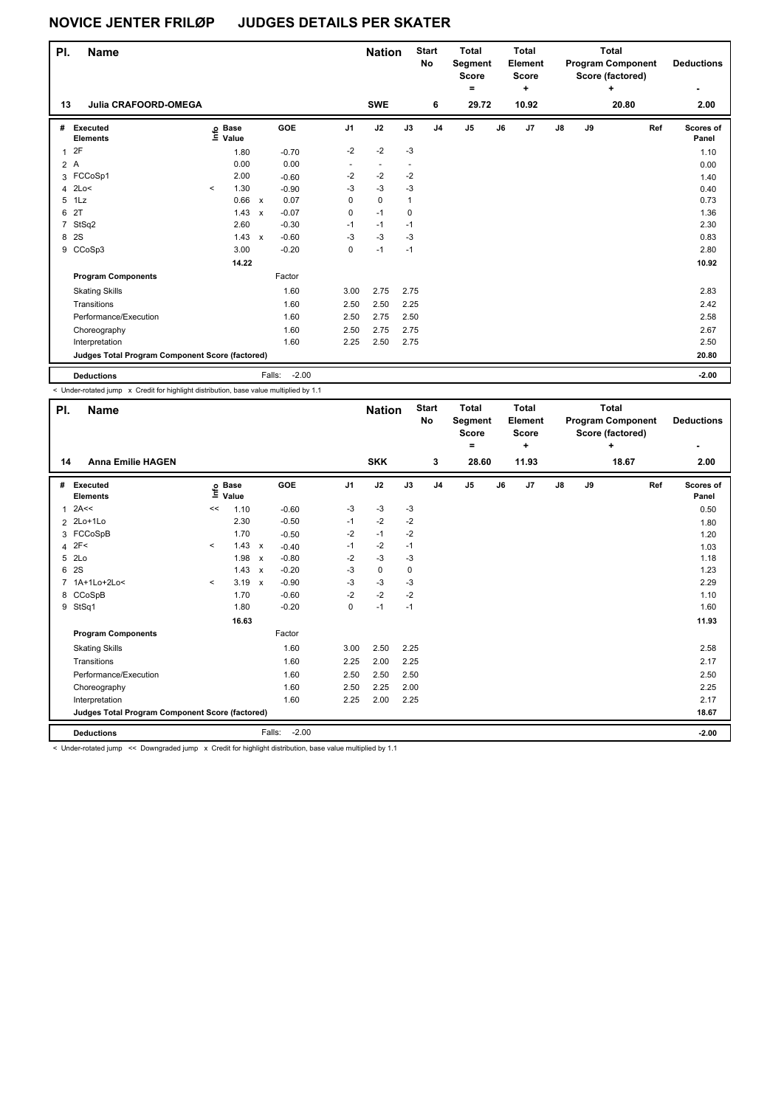| PI.<br><b>Name</b> |                                                 |         |                            |              |                   |                | <b>Nation</b> |              | <b>Start</b><br><b>No</b> | <b>Total</b><br>Segment<br><b>Score</b><br>$\equiv$ |    | <b>Total</b><br>Element<br><b>Score</b><br>÷ |               | <b>Total</b><br><b>Program Component</b><br>Score (factored) | <b>Deductions</b> |                    |
|--------------------|-------------------------------------------------|---------|----------------------------|--------------|-------------------|----------------|---------------|--------------|---------------------------|-----------------------------------------------------|----|----------------------------------------------|---------------|--------------------------------------------------------------|-------------------|--------------------|
| 13                 | <b>Julia CRAFOORD-OMEGA</b>                     |         |                            |              |                   |                | <b>SWE</b>    |              | 6                         | 29.72                                               |    | 10.92                                        |               |                                                              | 20.80             | 2.00               |
| #                  | Executed<br><b>Elements</b>                     |         | e Base<br>E Value<br>Value |              | GOE               | J <sub>1</sub> | J2            | J3           | J <sub>4</sub>            | $\mathsf{J}5$                                       | J6 | J <sub>7</sub>                               | $\mathsf{J}8$ | J9                                                           | Ref               | Scores of<br>Panel |
| $\mathbf{1}$       | 2F                                              |         | 1.80                       |              | $-0.70$           | $-2$           | $-2$          | $-3$         |                           |                                                     |    |                                              |               |                                                              |                   | 1.10               |
|                    | 2A                                              |         | 0.00                       |              | 0.00              |                |               |              |                           |                                                     |    |                                              |               |                                                              |                   | 0.00               |
| 3                  | FCCoSp1                                         |         | 2.00                       |              | $-0.60$           | $-2$           | $-2$          | $-2$         |                           |                                                     |    |                                              |               |                                                              |                   | 1.40               |
| 4                  | 2Lo<                                            | $\prec$ | 1.30                       |              | $-0.90$           | $-3$           | $-3$          | $-3$         |                           |                                                     |    |                                              |               |                                                              |                   | 0.40               |
| 5                  | 1Lz                                             |         | 0.66                       | $\mathsf{x}$ | 0.07              | 0              | $\mathbf 0$   | $\mathbf{1}$ |                           |                                                     |    |                                              |               |                                                              |                   | 0.73               |
| 6                  | 2T                                              |         | 1.43                       | $\mathsf{x}$ | $-0.07$           | 0              | $-1$          | $\mathbf 0$  |                           |                                                     |    |                                              |               |                                                              |                   | 1.36               |
| 7                  | StSq2                                           |         | 2.60                       |              | $-0.30$           | $-1$           | $-1$          | $-1$         |                           |                                                     |    |                                              |               |                                                              |                   | 2.30               |
| 8                  | 2S                                              |         | 1.43                       | $\mathsf{x}$ | $-0.60$           | $-3$           | $-3$          | -3           |                           |                                                     |    |                                              |               |                                                              |                   | 0.83               |
| 9                  | CCoSp3                                          |         | 3.00                       |              | $-0.20$           | 0              | $-1$          | $-1$         |                           |                                                     |    |                                              |               |                                                              |                   | 2.80               |
|                    |                                                 |         | 14.22                      |              |                   |                |               |              |                           |                                                     |    |                                              |               |                                                              |                   | 10.92              |
|                    | <b>Program Components</b>                       |         |                            |              | Factor            |                |               |              |                           |                                                     |    |                                              |               |                                                              |                   |                    |
|                    | <b>Skating Skills</b>                           |         |                            |              | 1.60              | 3.00           | 2.75          | 2.75         |                           |                                                     |    |                                              |               |                                                              |                   | 2.83               |
|                    | Transitions                                     |         |                            |              | 1.60              | 2.50           | 2.50          | 2.25         |                           |                                                     |    |                                              |               |                                                              |                   | 2.42               |
|                    | Performance/Execution                           |         |                            |              | 1.60              | 2.50           | 2.75          | 2.50         |                           |                                                     |    |                                              |               |                                                              |                   | 2.58               |
|                    | Choreography                                    |         |                            |              | 1.60              | 2.50           | 2.75          | 2.75         |                           |                                                     |    |                                              |               |                                                              |                   | 2.67               |
|                    | Interpretation                                  |         |                            |              | 1.60              | 2.25           | 2.50          | 2.75         |                           |                                                     |    |                                              |               |                                                              |                   | 2.50               |
|                    | Judges Total Program Component Score (factored) |         |                            |              |                   |                |               |              |                           |                                                     |    | 20.80                                        |               |                                                              |                   |                    |
|                    | <b>Deductions</b>                               |         |                            |              | $-2.00$<br>Falls: |                |               |              |                           |                                                     |    |                                              |               |                                                              |                   | $-2.00$            |

< Under-rotated jump x Credit for highlight distribution, base value multiplied by 1.1

| PI. | Name                                                                                                        |         |                      |                           |                   |                |            | <b>Start</b><br><b>Nation</b><br>No |    | <b>Total</b><br>Segment<br><b>Score</b><br>= | <b>Total</b><br>Element<br><b>Score</b><br>٠ |       |               |    | <b>Total</b><br><b>Program Component</b><br>Score (factored)<br>٠ |     | <b>Deductions</b><br>٠ |
|-----|-------------------------------------------------------------------------------------------------------------|---------|----------------------|---------------------------|-------------------|----------------|------------|-------------------------------------|----|----------------------------------------------|----------------------------------------------|-------|---------------|----|-------------------------------------------------------------------|-----|------------------------|
| 14  | <b>Anna Emilie HAGEN</b>                                                                                    |         |                      |                           |                   |                | <b>SKK</b> |                                     | 3  | 28.60                                        |                                              | 11.93 |               |    | 18.67                                                             |     | 2.00                   |
| #   | <b>Executed</b><br><b>Elements</b>                                                                          | ١nf٥    | <b>Base</b><br>Value |                           | <b>GOE</b>        | J <sub>1</sub> | J2         | J3                                  | J4 | J <sub>5</sub>                               | J6                                           | J7    | $\mathsf{J}8$ | J9 |                                                                   | Ref | Scores of<br>Panel     |
| 1   | 2A<<                                                                                                        | <<      | 1.10                 |                           | $-0.60$           | -3             | $-3$       | $-3$                                |    |                                              |                                              |       |               |    |                                                                   |     | 0.50                   |
|     | 2 2Lo+1Lo                                                                                                   |         | 2.30                 |                           | $-0.50$           | $-1$           | $-2$       | $-2$                                |    |                                              |                                              |       |               |    |                                                                   |     | 1.80                   |
|     | 3 FCCoSpB                                                                                                   |         | 1.70                 |                           | $-0.50$           | $-2$           | $-1$       | $-2$                                |    |                                              |                                              |       |               |    |                                                                   |     | 1.20                   |
| 4   | 2F<                                                                                                         | $\prec$ | 1.43                 | $\mathsf{x}$              | $-0.40$           | $-1$           | $-2$       | $-1$                                |    |                                              |                                              |       |               |    |                                                                   |     | 1.03                   |
| 5   | 2Lo                                                                                                         |         | 1.98                 | $\boldsymbol{\mathsf{x}}$ | $-0.80$           | $-2$           | $-3$       | $-3$                                |    |                                              |                                              |       |               |    |                                                                   |     | 1.18                   |
| 6   | 2S                                                                                                          |         | 1.43                 | $\boldsymbol{\mathsf{x}}$ | $-0.20$           | -3             | 0          | 0                                   |    |                                              |                                              |       |               |    |                                                                   |     | 1.23                   |
|     | 1A+1Lo+2Lo<                                                                                                 | $\prec$ | 3.19                 | $\boldsymbol{\mathsf{x}}$ | $-0.90$           | -3             | $-3$       | -3                                  |    |                                              |                                              |       |               |    |                                                                   |     | 2.29                   |
| 8   | CCoSpB                                                                                                      |         | 1.70                 |                           | $-0.60$           | $-2$           | $-2$       | $-2$                                |    |                                              |                                              |       |               |    |                                                                   |     | 1.10                   |
|     | 9 StSq1                                                                                                     |         | 1.80                 |                           | $-0.20$           | 0              | $-1$       | $-1$                                |    |                                              |                                              |       |               |    |                                                                   |     | 1.60                   |
|     |                                                                                                             |         | 16.63                |                           |                   |                |            |                                     |    |                                              |                                              |       |               |    |                                                                   |     | 11.93                  |
|     | Factor<br><b>Program Components</b>                                                                         |         |                      |                           |                   |                |            |                                     |    |                                              |                                              |       |               |    |                                                                   |     |                        |
|     | <b>Skating Skills</b>                                                                                       |         |                      |                           | 1.60              | 3.00           | 2.50       | 2.25                                |    |                                              |                                              |       |               |    |                                                                   |     | 2.58                   |
|     | Transitions                                                                                                 |         |                      |                           | 1.60              | 2.25           | 2.00       | 2.25                                |    |                                              |                                              |       |               |    |                                                                   |     | 2.17                   |
|     | Performance/Execution                                                                                       |         |                      |                           | 1.60              | 2.50           | 2.50       | 2.50                                |    |                                              |                                              |       |               |    |                                                                   |     | 2.50                   |
|     | Choreography                                                                                                |         |                      |                           | 1.60              | 2.50           | 2.25       | 2.00                                |    |                                              |                                              |       |               |    |                                                                   |     | 2.25                   |
|     | Interpretation                                                                                              |         |                      |                           | 1.60              | 2.25           | 2.00       | 2.25                                |    |                                              |                                              |       |               |    |                                                                   |     | 2.17                   |
|     | Judges Total Program Component Score (factored)                                                             |         |                      |                           |                   |                |            |                                     |    |                                              |                                              |       |               |    |                                                                   |     | 18.67                  |
|     | <b>Deductions</b>                                                                                           |         |                      |                           | $-2.00$<br>Falls: |                |            |                                     |    |                                              |                                              |       |               |    |                                                                   |     | $-2.00$                |
|     | 1.1 Inder retated jump 22 Devnaraded jump y Credit for bigblight distribution, base value multiplied by 1,1 |         |                      |                           |                   |                |            |                                     |    |                                              |                                              |       |               |    |                                                                   |     |                        |

Under-rotated jump << Downgraded jump x Credit for highlight distribution, base value multiplied by 1.1